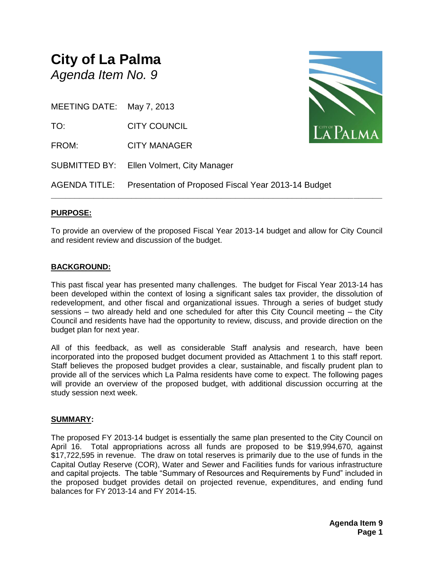### **City of La Palma** *Agenda Item No. 9*

| MEETING DATE: May 7, 2013 |                                                                   |          |
|---------------------------|-------------------------------------------------------------------|----------|
| TO:                       | <b>CITY COUNCIL</b>                                               | LA PALMA |
| FROM:                     | <b>CITY MANAGER</b>                                               |          |
|                           | SUBMITTED BY: Ellen Volmert, City Manager                         |          |
|                           | AGENDA TITLE: Presentation of Proposed Fiscal Year 2013-14 Budget |          |



#### **PURPOSE:**

To provide an overview of the proposed Fiscal Year 2013-14 budget and allow for City Council and resident review and discussion of the budget.

#### **BACKGROUND:**

This past fiscal year has presented many challenges. The budget for Fiscal Year 2013-14 has been developed within the context of losing a significant sales tax provider, the dissolution of redevelopment, and other fiscal and organizational issues. Through a series of budget study sessions – two already held and one scheduled for after this City Council meeting – the City Council and residents have had the opportunity to review, discuss, and provide direction on the budget plan for next year.

All of this feedback, as well as considerable Staff analysis and research, have been incorporated into the proposed budget document provided as Attachment 1 to this staff report. Staff believes the proposed budget provides a clear, sustainable, and fiscally prudent plan to provide all of the services which La Palma residents have come to expect. The following pages will provide an overview of the proposed budget, with additional discussion occurring at the study session next week.

#### **SUMMARY:**

The proposed FY 2013-14 budget is essentially the same plan presented to the City Council on April 16. Total appropriations across all funds are proposed to be \$19,994,670, against \$17,722,595 in revenue. The draw on total reserves is primarily due to the use of funds in the Capital Outlay Reserve (COR), Water and Sewer and Facilities funds for various infrastructure and capital projects. The table "Summary of Resources and Requirements by Fund" included in the proposed budget provides detail on projected revenue, expenditures, and ending fund balances for FY 2013-14 and FY 2014-15.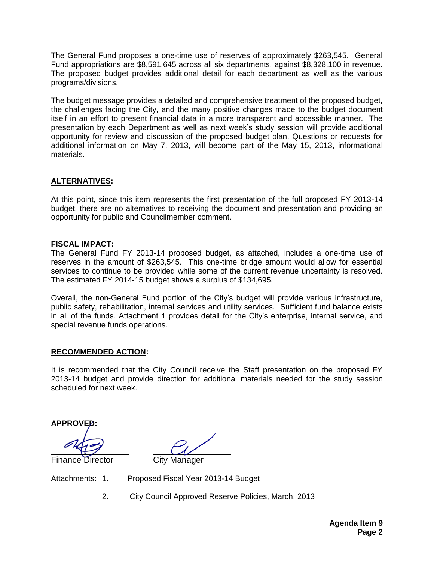The General Fund proposes a one-time use of reserves of approximately \$263,545. General Fund appropriations are \$8,591,645 across all six departments, against \$8,328,100 in revenue. The proposed budget provides additional detail for each department as well as the various programs/divisions.

The budget message provides a detailed and comprehensive treatment of the proposed budget, the challenges facing the City, and the many positive changes made to the budget document itself in an effort to present financial data in a more transparent and accessible manner. The presentation by each Department as well as next week's study session will provide additional opportunity for review and discussion of the proposed budget plan. Questions or requests for additional information on May 7, 2013, will become part of the May 15, 2013, informational materials.

#### **ALTERNATIVES:**

At this point, since this item represents the first presentation of the full proposed FY 2013-14 budget, there are no alternatives to receiving the document and presentation and providing an opportunity for public and Councilmember comment.

#### **FISCAL IMPACT:**

The General Fund FY 2013-14 proposed budget, as attached, includes a one-time use of reserves in the amount of \$263,545. This one-time bridge amount would allow for essential services to continue to be provided while some of the current revenue uncertainty is resolved. The estimated FY 2014-15 budget shows a surplus of \$134,695.

Overall, the non-General Fund portion of the City's budget will provide various infrastructure, public safety, rehabilitation, internal services and utility services. Sufficient fund balance exists in all of the funds. Attachment 1 provides detail for the City's enterprise, internal service, and special revenue funds operations.

#### **RECOMMENDED ACTION:**

It is recommended that the City Council receive the Staff presentation on the proposed FY 2013-14 budget and provide direction for additional materials needed for the study session scheduled for next week.

**APPROVED:**

Finance Director City Manager

Attachments: 1. Proposed Fiscal Year 2013-14 Budget

2. City Council Approved Reserve Policies, March, 2013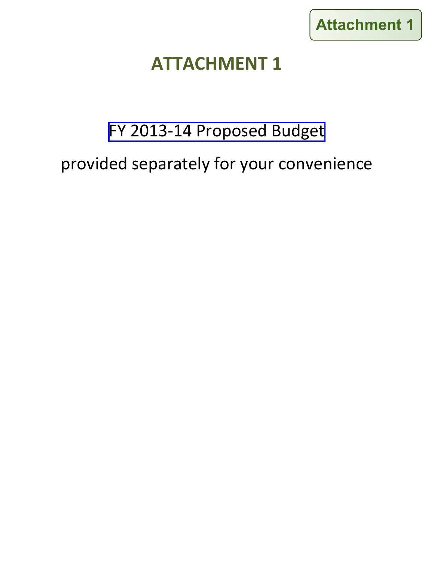

## **ATTACHMENT 1**

# [FY 2013-14 Proposed Budget](http://www.cityoflapalma.org/DocumentCenter/View/3878) provided separately for your convenience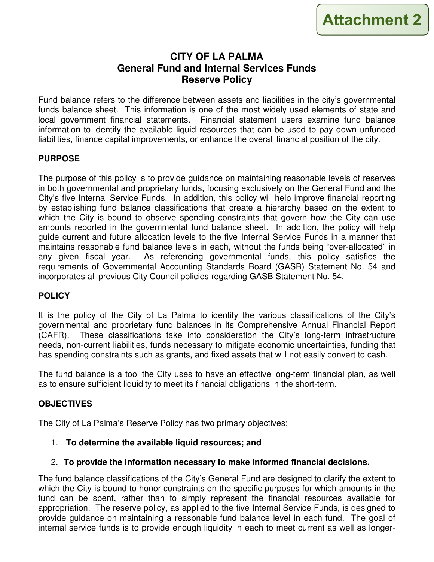#### **CITY OF LA PALMA General Fund and Internal Services Funds Reserve Policy**

Fund balance refers to the difference between assets and liabilities in the city's governmental funds balance sheet. This information is one of the most widely used elements of state and local government financial statements. Financial statement users examine fund balance information to identify the available liquid resources that can be used to pay down unfunded liabilities, finance capital improvements, or enhance the overall financial position of the city.

#### **PURPOSE**

The purpose of this policy is to provide guidance on maintaining reasonable levels of reserves in both governmental and proprietary funds, focusing exclusively on the General Fund and the City's five Internal Service Funds. In addition, this policy will help improve financial reporting by establishing fund balance classifications that create a hierarchy based on the extent to which the City is bound to observe spending constraints that govern how the City can use amounts reported in the governmental fund balance sheet. In addition, the policy will help guide current and future allocation levels to the five Internal Service Funds in a manner that maintains reasonable fund balance levels in each, without the funds being "over-allocated" in any given fiscal year. As referencing governmental funds, this policy satisfies the requirements of Governmental Accounting Standards Board (GASB) Statement No. 54 and incorporates all previous City Council policies regarding GASB Statement No. 54.

#### **POLICY**

It is the policy of the City of La Palma to identify the various classifications of the City's governmental and proprietary fund balances in its Comprehensive Annual Financial Report (CAFR). These classifications take into consideration the City's long-term infrastructure needs, non-current liabilities, funds necessary to mitigate economic uncertainties, funding that has spending constraints such as grants, and fixed assets that will not easily convert to cash.

The fund balance is a tool the City uses to have an effective long-term financial plan, as well as to ensure sufficient liquidity to meet its financial obligations in the short-term.

#### **OBJECTIVES**

The City of La Palma's Reserve Policy has two primary objectives:

1. **To determine the available liquid resources; and** 

#### 2. **To provide the information necessary to make informed financial decisions.**

The fund balance classifications of the City's General Fund are designed to clarify the extent to which the City is bound to honor constraints on the specific purposes for which amounts in the fund can be spent, rather than to simply represent the financial resources available for appropriation. The reserve policy, as applied to the five Internal Service Funds, is designed to provide guidance on maintaining a reasonable fund balance level in each fund. The goal of internal service funds is to provide enough liquidity in each to meet current as well as longer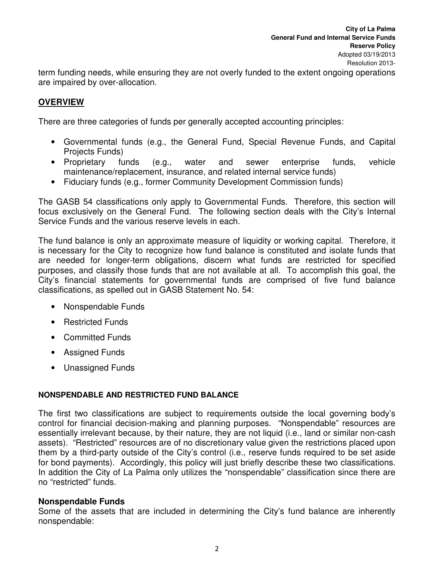term funding needs, while ensuring they are not overly funded to the extent ongoing operations are impaired by over-allocation.

#### **OVERVIEW**

There are three categories of funds per generally accepted accounting principles:

- Governmental funds (e.g., the General Fund, Special Revenue Funds, and Capital Projects Funds)
- Proprietary funds (e.g., water and sewer enterprise funds, vehicle maintenance/replacement, insurance, and related internal service funds)
- Fiduciary funds (e.g., former Community Development Commission funds)

The GASB 54 classifications only apply to Governmental Funds. Therefore, this section will focus exclusively on the General Fund. The following section deals with the City's Internal Service Funds and the various reserve levels in each.

The fund balance is only an approximate measure of liquidity or working capital. Therefore, it is necessary for the City to recognize how fund balance is constituted and isolate funds that are needed for longer-term obligations, discern what funds are restricted for specified purposes, and classify those funds that are not available at all. To accomplish this goal, the City's financial statements for governmental funds are comprised of five fund balance classifications, as spelled out in GASB Statement No. 54:

- Nonspendable Funds
- Restricted Funds
- Committed Funds
- Assigned Funds
- Unassigned Funds

#### **NONSPENDABLE AND RESTRICTED FUND BALANCE**

The first two classifications are subject to requirements outside the local governing body's control for financial decision-making and planning purposes. "Nonspendable" resources are essentially irrelevant because, by their nature, they are not liquid (i.e., land or similar non-cash assets). "Restricted" resources are of no discretionary value given the restrictions placed upon them by a third-party outside of the City's control (i.e., reserve funds required to be set aside for bond payments). Accordingly, this policy will just briefly describe these two classifications. In addition the City of La Palma only utilizes the "nonspendable" classification since there are no "restricted" funds.

#### **Nonspendable Funds**

Some of the assets that are included in determining the City's fund balance are inherently nonspendable: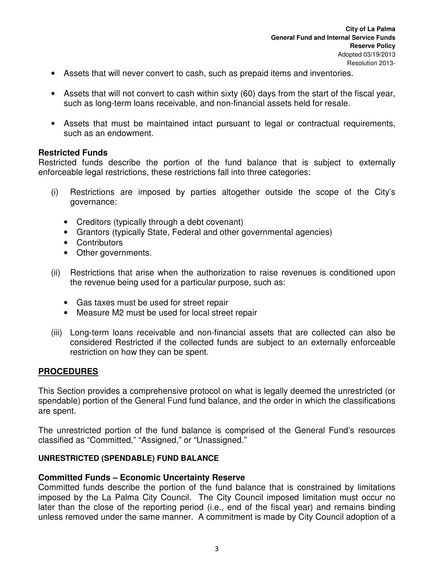- Assets that will never convert to cash, such as prepaid items and inventories.
- Assets that will not convert to cash within sixty (60) days from the start of the fiscal year, such as long-term loans receivable, and non-financial assets held for resale.
- Assets that must be maintained intact pursuant to legal or contractual requirements, such as an endowment.

#### **Restricted Funds**

Restricted funds describe the portion of the fund balance that is subject to externally enforceable legal restrictions, these restrictions fall into three categories:

- (i) Restrictions are imposed by parties altogether outside the scope of the City's governance:
	- Creditors (typically through a debt covenant)
	- Grantors (typically State, Federal and other governmental agencies)
	- Contributors
	- Other governments.
- (ii) Restrictions that arise when the authorization to raise revenues is conditioned upon the revenue being used for a particular purpose, such as:
	- Gas taxes must be used for street repair
	- Measure M2 must be used for local street repair
- (iii) Long-term loans receivable and non-financial assets that are collected can also be considered Restricted if the collected funds are subject to an externally enforceable restriction on how they can be spent.

#### **PROCEDURES**

This Section provides a comprehensive protocol on what is legally deemed the unrestricted (or spendable) portion of the General Fund fund balance, and the order in which the classifications are spent.

The unrestricted portion of the fund balance is comprised of the General Fund's resources classified as "Committed," "Assigned," or "Unassigned."

#### **UNRESTRICTED (SPENDABLE) FUND BALANCE**

#### **Committed Funds – Economic Uncertainty Reserve**

Committed funds describe the portion of the fund balance that is constrained by limitations imposed by the La Palma City Council. The City Council imposed limitation must occur no later than the close of the reporting period (i.e., end of the fiscal year) and remains binding unless removed under the same manner. A commitment is made by City Council adoption of a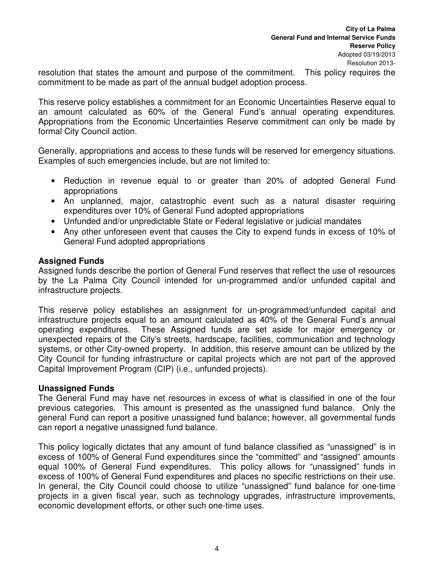resolution that states the amount and purpose of the commitment. This policy requires the commitment to be made as part of the annual budget adoption process.

This reserve policy establishes a commitment for an Economic Uncertainties Reserve equal to an amount calculated as 60% of the General Fund's annual operating expenditures. Appropriations from the Economic Uncertainties Reserve commitment can only be made by formal City Council action.

Generally, appropriations and access to these funds will be reserved for emergency situations. Examples of such emergencies include, but are not limited to:

- Reduction in revenue equal to or greater than 20% of adopted General Fund appropriations
- An unplanned, major, catastrophic event such as a natural disaster requiring expenditures over 10% of General Fund adopted appropriations
- Unfunded and/or unpredictable State or Federal legislative or judicial mandates
- Any other unforeseen event that causes the City to expend funds in excess of 10% of General Fund adopted appropriations

#### **Assigned Funds**

Assigned funds describe the portion of General Fund reserves that reflect the use of resources by the La Palma City Council intended for un-programmed and/or unfunded capital and infrastructure projects.

This reserve policy establishes an assignment for un-programmed/unfunded capital and infrastructure projects equal to an amount calculated as 40% of the General Fund's annual operating expenditures. These Assigned funds are set aside for major emergency or unexpected repairs of the City's streets, hardscape, facilities, communication and technology systems, or other City-owned property. In addition, this reserve amount can be utilized by the City Council for funding infrastructure or capital projects which are not part of the approved Capital Improvement Program (CIP) (i.e., unfunded projects).

#### **Unassigned Funds**

The General Fund may have net resources in excess of what is classified in one of the four previous categories. This amount is presented as the unassigned fund balance. Only the general Fund can report a positive unassigned fund balance; however, all governmental funds can report a negative unassigned fund balance.

This policy logically dictates that any amount of fund balance classified as "unassigned" is in excess of 100% of General Fund expenditures since the "committed" and "assigned" amounts equal 100% of General Fund expenditures. This policy allows for "unassigned" funds in excess of 100% of General Fund expenditures and places no specific restrictions on their use. In general, the City Council could choose to utilize "unassigned" fund balance for one-time projects in a given fiscal year, such as technology upgrades, infrastructure improvements, economic development efforts, or other such one-time uses.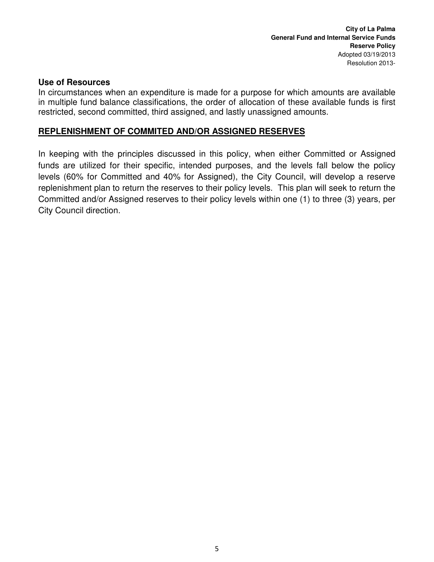#### **Use of Resources**

In circumstances when an expenditure is made for a purpose for which amounts are available in multiple fund balance classifications, the order of allocation of these available funds is first restricted, second committed, third assigned, and lastly unassigned amounts.

#### **REPLENISHMENT OF COMMITED AND/OR ASSIGNED RESERVES**

In keeping with the principles discussed in this policy, when either Committed or Assigned funds are utilized for their specific, intended purposes, and the levels fall below the policy levels (60% for Committed and 40% for Assigned), the City Council, will develop a reserve replenishment plan to return the reserves to their policy levels. This plan will seek to return the Committed and/or Assigned reserves to their policy levels within one (1) to three (3) years, per City Council direction.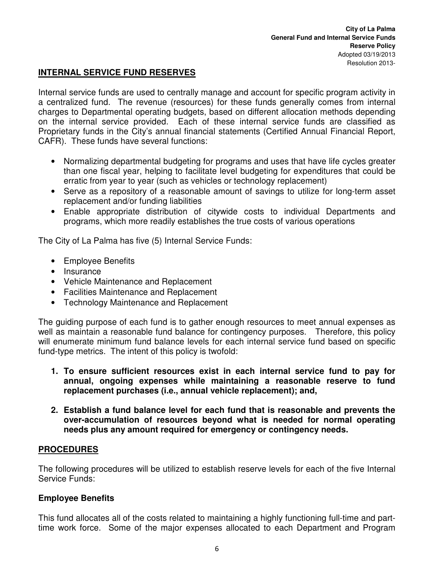#### **INTERNAL SERVICE FUND RESERVES**

Internal service funds are used to centrally manage and account for specific program activity in a centralized fund. The revenue (resources) for these funds generally comes from internal charges to Departmental operating budgets, based on different allocation methods depending on the internal service provided. Each of these internal service funds are classified as Proprietary funds in the City's annual financial statements (Certified Annual Financial Report, CAFR). These funds have several functions:

- Normalizing departmental budgeting for programs and uses that have life cycles greater than one fiscal year, helping to facilitate level budgeting for expenditures that could be erratic from year to year (such as vehicles or technology replacement)
- Serve as a repository of a reasonable amount of savings to utilize for long-term asset replacement and/or funding liabilities
- Enable appropriate distribution of citywide costs to individual Departments and programs, which more readily establishes the true costs of various operations

The City of La Palma has five (5) Internal Service Funds:

- Employee Benefits
- Insurance
- Vehicle Maintenance and Replacement
- Facilities Maintenance and Replacement
- Technology Maintenance and Replacement

The guiding purpose of each fund is to gather enough resources to meet annual expenses as well as maintain a reasonable fund balance for contingency purposes. Therefore, this policy will enumerate minimum fund balance levels for each internal service fund based on specific fund-type metrics. The intent of this policy is twofold:

- **1. To ensure sufficient resources exist in each internal service fund to pay for annual, ongoing expenses while maintaining a reasonable reserve to fund replacement purchases (i.e., annual vehicle replacement); and,**
- **2. Establish a fund balance level for each fund that is reasonable and prevents the over-accumulation of resources beyond what is needed for normal operating needs plus any amount required for emergency or contingency needs.**

#### **PROCEDURES**

The following procedures will be utilized to establish reserve levels for each of the five Internal Service Funds:

#### **Employee Benefits**

This fund allocates all of the costs related to maintaining a highly functioning full-time and parttime work force. Some of the major expenses allocated to each Department and Program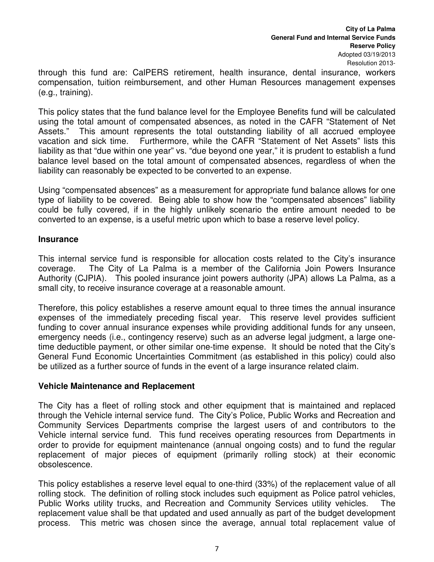through this fund are: CalPERS retirement, health insurance, dental insurance, workers compensation, tuition reimbursement, and other Human Resources management expenses (e.g., training).

This policy states that the fund balance level for the Employee Benefits fund will be calculated using the total amount of compensated absences, as noted in the CAFR "Statement of Net Assets." This amount represents the total outstanding liability of all accrued employee vacation and sick time. Furthermore, while the CAFR "Statement of Net Assets" lists this liability as that "due within one year" vs. "due beyond one year," it is prudent to establish a fund balance level based on the total amount of compensated absences, regardless of when the liability can reasonably be expected to be converted to an expense.

Using "compensated absences" as a measurement for appropriate fund balance allows for one type of liability to be covered. Being able to show how the "compensated absences" liability could be fully covered, if in the highly unlikely scenario the entire amount needed to be converted to an expense, is a useful metric upon which to base a reserve level policy.

#### **Insurance**

This internal service fund is responsible for allocation costs related to the City's insurance coverage. The City of La Palma is a member of the California Join Powers Insurance Authority (CJPIA). This pooled insurance joint powers authority (JPA) allows La Palma, as a small city, to receive insurance coverage at a reasonable amount.

Therefore, this policy establishes a reserve amount equal to three times the annual insurance expenses of the immediately preceding fiscal year. This reserve level provides sufficient funding to cover annual insurance expenses while providing additional funds for any unseen, emergency needs (i.e., contingency reserve) such as an adverse legal judgment, a large onetime deductible payment, or other similar one-time expense. It should be noted that the City's General Fund Economic Uncertainties Commitment (as established in this policy) could also be utilized as a further source of funds in the event of a large insurance related claim.

#### **Vehicle Maintenance and Replacement**

The City has a fleet of rolling stock and other equipment that is maintained and replaced through the Vehicle internal service fund. The City's Police, Public Works and Recreation and Community Services Departments comprise the largest users of and contributors to the Vehicle internal service fund. This fund receives operating resources from Departments in order to provide for equipment maintenance (annual ongoing costs) and to fund the regular replacement of major pieces of equipment (primarily rolling stock) at their economic obsolescence.

This policy establishes a reserve level equal to one-third (33%) of the replacement value of all rolling stock. The definition of rolling stock includes such equipment as Police patrol vehicles, Public Works utility trucks, and Recreation and Community Services utility vehicles. replacement value shall be that updated and used annually as part of the budget development process. This metric was chosen since the average, annual total replacement value of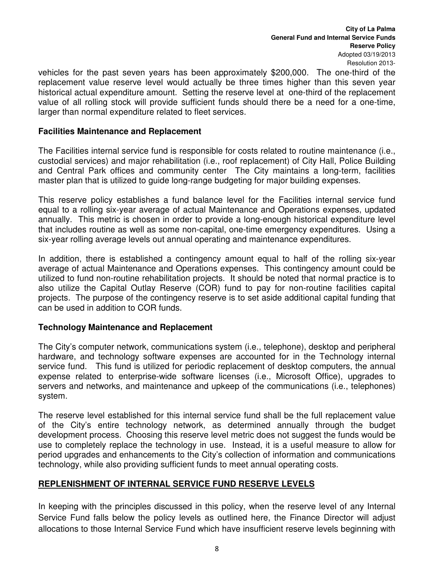**City of La Palma General Fund and Internal Service Funds Reserve Policy**  Adopted 03/19/2013 Resolution 2013-

vehicles for the past seven years has been approximately \$200,000. The one-third of the replacement value reserve level would actually be three times higher than this seven year historical actual expenditure amount. Setting the reserve level at one-third of the replacement value of all rolling stock will provide sufficient funds should there be a need for a one-time, larger than normal expenditure related to fleet services.

#### **Facilities Maintenance and Replacement**

The Facilities internal service fund is responsible for costs related to routine maintenance (i.e., custodial services) and major rehabilitation (i.e., roof replacement) of City Hall, Police Building and Central Park offices and community center The City maintains a long-term, facilities master plan that is utilized to guide long-range budgeting for major building expenses.

This reserve policy establishes a fund balance level for the Facilities internal service fund equal to a rolling six-year average of actual Maintenance and Operations expenses, updated annually. This metric is chosen in order to provide a long-enough historical expenditure level that includes routine as well as some non-capital, one-time emergency expenditures. Using a six-year rolling average levels out annual operating and maintenance expenditures.

In addition, there is established a contingency amount equal to half of the rolling six-year average of actual Maintenance and Operations expenses. This contingency amount could be utilized to fund non-routine rehabilitation projects. It should be noted that normal practice is to also utilize the Capital Outlay Reserve (COR) fund to pay for non-routine facilities capital projects. The purpose of the contingency reserve is to set aside additional capital funding that can be used in addition to COR funds.

#### **Technology Maintenance and Replacement**

The City's computer network, communications system (i.e., telephone), desktop and peripheral hardware, and technology software expenses are accounted for in the Technology internal service fund. This fund is utilized for periodic replacement of desktop computers, the annual expense related to enterprise-wide software licenses (i.e., Microsoft Office), upgrades to servers and networks, and maintenance and upkeep of the communications (i.e., telephones) system.

The reserve level established for this internal service fund shall be the full replacement value of the City's entire technology network, as determined annually through the budget development process. Choosing this reserve level metric does not suggest the funds would be use to completely replace the technology in use. Instead, it is a useful measure to allow for period upgrades and enhancements to the City's collection of information and communications technology, while also providing sufficient funds to meet annual operating costs.

#### **REPLENISHMENT OF INTERNAL SERVICE FUND RESERVE LEVELS**

In keeping with the principles discussed in this policy, when the reserve level of any Internal Service Fund falls below the policy levels as outlined here, the Finance Director will adjust allocations to those Internal Service Fund which have insufficient reserve levels beginning with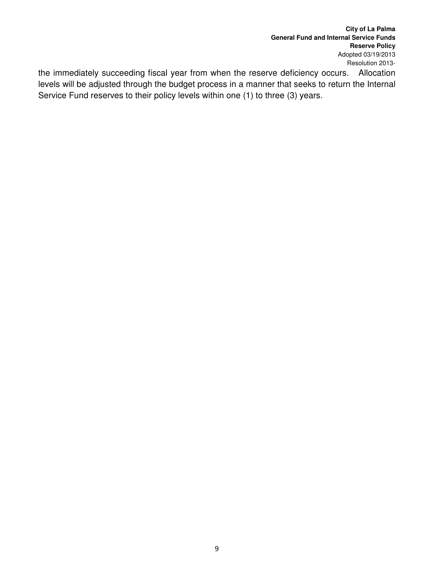**City of La Palma General Fund and Internal Service Funds Reserve Policy**  Adopted 03/19/2013 Resolution 2013-

the immediately succeeding fiscal year from when the reserve deficiency occurs. Allocation levels will be adjusted through the budget process in a manner that seeks to return the Internal Service Fund reserves to their policy levels within one (1) to three (3) years.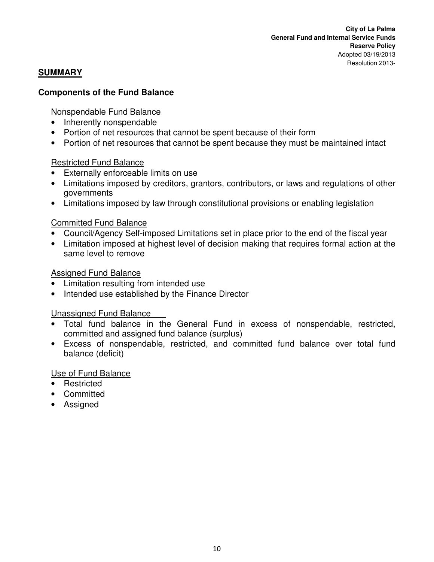#### **SUMMARY**

#### **Components of the Fund Balance**

#### Nonspendable Fund Balance

- Inherently nonspendable
- Portion of net resources that cannot be spent because of their form
- Portion of net resources that cannot be spent because they must be maintained intact

#### Restricted Fund Balance

- Externally enforceable limits on use
- Limitations imposed by creditors, grantors, contributors, or laws and regulations of other governments
- Limitations imposed by law through constitutional provisions or enabling legislation

#### Committed Fund Balance

- Council/Agency Self-imposed Limitations set in place prior to the end of the fiscal year
- Limitation imposed at highest level of decision making that requires formal action at the same level to remove

#### Assigned Fund Balance

- Limitation resulting from intended use
- Intended use established by the Finance Director

#### Unassigned Fund Balance

- Total fund balance in the General Fund in excess of nonspendable, restricted, committed and assigned fund balance (surplus)
- Excess of nonspendable, restricted, and committed fund balance over total fund balance (deficit)

#### Use of Fund Balance

- Restricted
- Committed
- Assigned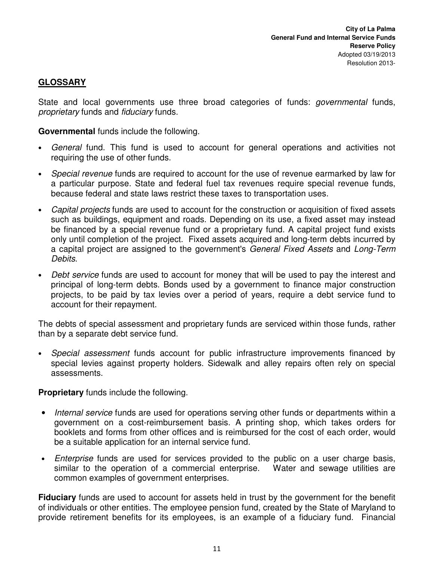#### **GLOSSARY**

State and local governments use three broad categories of funds: *governmental* funds, proprietary funds and fiduciary funds.

**Governmental** funds include the following.

- General fund. This fund is used to account for general operations and activities not requiring the use of other funds.
- Special revenue funds are required to account for the use of revenue earmarked by law for a particular purpose. State and federal fuel tax revenues require special revenue funds, because federal and state laws restrict these taxes to transportation uses.
- Capital projects funds are used to account for the construction or acquisition of fixed assets such as buildings, equipment and roads. Depending on its use, a fixed asset may instead be financed by a special revenue fund or a proprietary fund. A capital project fund exists only until completion of the project. Fixed assets acquired and long-term debts incurred by a capital project are assigned to the government's General Fixed Assets and Long-Term Debits.
- Debt service funds are used to account for money that will be used to pay the interest and principal of long-term debts. Bonds used by a government to finance major construction projects, to be paid by tax levies over a period of years, require a debt service fund to account for their repayment.

The debts of special assessment and proprietary funds are serviced within those funds, rather than by a separate debt service fund.

• Special assessment funds account for public infrastructure improvements financed by special levies against property holders. Sidewalk and alley repairs often rely on special assessments.

**Proprietary** funds include the following.

- Internal service funds are used for operations serving other funds or departments within a government on a cost-reimbursement basis. A printing shop, which takes orders for booklets and forms from other offices and is reimbursed for the cost of each order, would be a suitable application for an internal service fund.
- Enterprise funds are used for services provided to the public on a user charge basis, similar to the operation of a commercial enterprise. Water and sewage utilities are common examples of government enterprises.

**Fiduciary** funds are used to account for assets held in trust by the government for the benefit of individuals or other entities. The employee pension fund, created by the State of Maryland to provide retirement benefits for its employees, is an example of a fiduciary fund. Financial